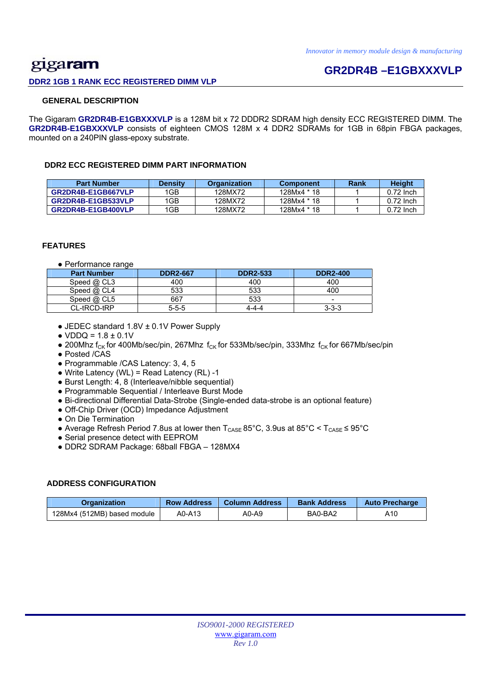## gigaram **DDR2 1GB 1 RANK ECC REGISTERED DIMM VLP**

## **GR2DR4B –E1GBXXXVLP**

### **GENERAL DESCRIPTION**

The Gigaram **GR2DR4B-E1GBXXXVLP** is a 128M bit x 72 DDDR2 SDRAM high density ECC REGISTERED DIMM. The **GR2DR4B-E1GBXXXVLP** consists of eighteen CMOS 128M x 4 DDR2 SDRAMs for 1GB in 68pin FBGA packages, mounted on a 240PIN glass-epoxy substrate.

### **DDR2 ECC REGISTERED DIMM PART INFORMATION**

| <b>Part Number</b> | Densitv | <b>Organization</b> | <b>Component</b> | Rank | Height      |
|--------------------|---------|---------------------|------------------|------|-------------|
| GR2DR4B-E1GB667VLP | 1GB     | 128MX72             | 128Mx4 * 18      |      | $0.72$ lnch |
| GR2DR4B-E1GB533VLP | 1GB     | 128MX72             | 128Mx4 * 18      |      | $0.72$ lnch |
| GR2DR4B-E1GB400VLP | 1GB     | 128MX72             | 128Mx4 * 18      |      | $0.72$ lnch |

### **FEATURES**

● Performance range

| <b>Part Number</b> | <b>DDR2-667</b> | <b>DDR2-533</b> | <b>DDR2-400</b>          |
|--------------------|-----------------|-----------------|--------------------------|
| Speed @ CL3        | 400             | 400             | 400                      |
| Speed $@$ CL4      | 533             | 533             | 400                      |
| Speed $@$ CL5      | 667             | 533             | $\overline{\phantom{a}}$ |
| CL-tRCD-tRP        | $5 - 5 - 5$     | 4-4-4           | $3 - 3 - 3$              |

- JEDEC standard 1.8V ± 0.1V Power Supply
- $\bullet$  VDDQ = 1.8  $\pm$  0.1V
- 200Mhz f<sub>CK</sub> for 400Mb/sec/pin, 267Mhz f<sub>CK</sub> for 533Mb/sec/pin, 333Mhz f<sub>CK</sub> for 667Mb/sec/pin
- Posted /CAS
- Programmable /CAS Latency: 3, 4, 5
- $\bullet$  Write Latency (WL) = Read Latency (RL) -1
- Burst Length: 4, 8 (Interleave/nibble sequential)
- Programmable Sequential / Interleave Burst Mode
- Bi-directional Differential Data-Strobe (Single-ended data-strobe is an optional feature)
- Off-Chip Driver (OCD) Impedance Adjustment
- On Die Termination
- Average Refresh Period 7.8us at lower then  $T_{\text{CASE}}$  85°C, 3.9us at 85°C <  $T_{\text{CASE}}$  ≤ 95°C
- Serial presence detect with EEPROM
- DDR2 SDRAM Package: 68ball FBGA 128MX4

### **ADDRESS CONFIGURATION**

| <b>Organization</b>         | <b>Row Address</b> | Column Address | <b>Bank Address</b> | <b>Auto Precharge</b> |
|-----------------------------|--------------------|----------------|---------------------|-----------------------|
| 128Mx4 (512MB) based module | A0-A13             | A0-A9          | BA0-BA2             | A10                   |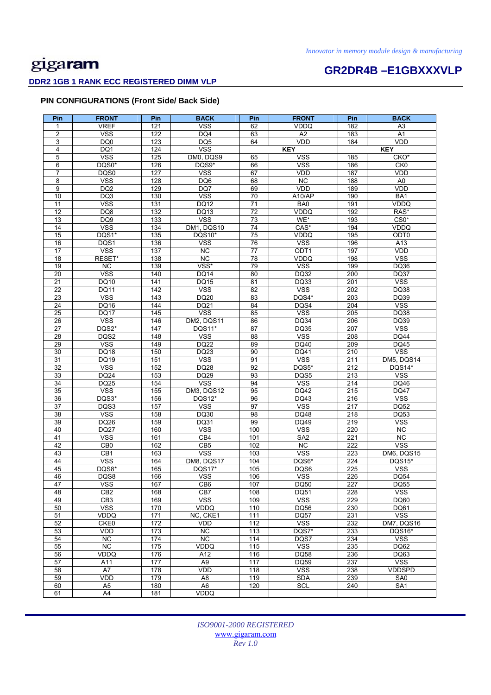# **GR2DR4B –E1GBXXXVLP**

## **DDR2 1GB 1 RANK ECC REGISTERED DIMM VLP**

### **PIN CONFIGURATIONS (Front Side/ Back Side)**

| Pin                   | <b>FRONT</b>        | Pin              | <b>BACK</b>             | Pin             | <b>FRONT</b>        | Pin              | <b>BACK</b>                 |
|-----------------------|---------------------|------------------|-------------------------|-----------------|---------------------|------------------|-----------------------------|
| 1                     | <b>VREF</b>         | 121              | <b>VSS</b>              | 62              | <b>VDDQ</b>         | 182              | A <sub>3</sub>              |
| 2                     | <b>VSS</b>          | 122              | DQ4                     | 63              | A2                  | 183              | A1                          |
| 3                     | DQ0                 | 123              | DQ <sub>5</sub>         | 64              | VDD                 | 184              | <b>VDD</b>                  |
| $\overline{4}$        | DQ1                 | 124              | <b>VSS</b>              |                 | <b>KEY</b>          |                  | <b>KEY</b>                  |
| 5                     | <b>VSS</b>          | 125              | DM0, DQS9               | 65              | <b>VSS</b>          | 185              | CKO*                        |
| 6                     | DQS0*               | 126              | DQS9*                   | 66              | <b>VSS</b>          | 186              | CKO                         |
| 7                     | DQS0                | 127              | <b>VSS</b>              | 67              | <b>VDD</b>          | 187              | <b>VDD</b>                  |
| 8                     | <b>VSS</b>          | 128              | DQ6                     | 68              | $\overline{NC}$     | 188              | A <sub>0</sub>              |
| 9                     | DQ <sub>2</sub>     | 129              | DQ7                     | 69              | <b>VDD</b>          | 189              | <b>VDD</b>                  |
| 10                    | DQ3                 | 130              | <b>VSS</b>              | 70              | A10/AP              | 190              | BA1                         |
| 11                    | <b>VSS</b>          | 131              | <b>DQ12</b>             | 71              | BA0                 | 191              | VDDQ                        |
| 12                    | DQ8                 | 132              | DQ13                    | 72              | <b>VDDQ</b>         | 192              | RAS*                        |
| 13                    | DQ9                 | 133              | $\overline{\text{VSS}}$ | $\overline{73}$ | WE*                 | 193              | $CS0*$                      |
| 14                    | <b>VSS</b>          | 134              | <b>DM1, DQS10</b>       | 74              | CAS*                | 194              | VDDQ                        |
| 15<br>16              | DQS1*<br>DQS1       | 135<br>136       | DQS10*<br><b>VSS</b>    | 75<br>76        | VDDQ<br><b>VSS</b>  | 195<br>196       | ODT0<br>A13                 |
| 17                    | <b>VSS</b>          | 137              | <b>NC</b>               | 77              | ODT <sub>1</sub>    | 197              | <b>VDD</b>                  |
| 18                    | RESET*              | 138              | <b>NC</b>               | 78              | VDDQ                | 198              | <b>VSS</b>                  |
| 19                    | <b>NC</b>           | 139              | VSS*                    | 79              | <b>VSS</b>          | 199              | <b>DQ36</b>                 |
| 20                    | <b>VSS</b>          | 140              | <b>DQ14</b>             | 80              | DQ32                | 200              | <b>DQ37</b>                 |
| 21                    | DQ10                | 141              | <b>DQ15</b>             | 81              | DQ33                | 201              | <b>VSS</b>                  |
| $\overline{22}$       | <b>DQ11</b>         | $\overline{142}$ | <b>VSS</b>              | 82              | <b>VSS</b>          | 202              | DQ38                        |
| 23                    | <b>VSS</b>          | 143              | DQ20                    | 83              | DQS4*               | 203              | DQ39                        |
| $\overline{24}$       | <b>DQ16</b>         | 144              | <b>DQ21</b>             | 84              | DQS4                | 204              | <b>VSS</b>                  |
| 25                    | <b>DQ17</b>         | 145              | <b>VSS</b>              | 85              | <b>VSS</b>          | 205              | DQ38                        |
| 26                    | <b>VSS</b>          | 146              | DM2, DQS11              | 86              | DQ34                | 206              | DQ39                        |
| $\overline{27}$       | DQS2*               | 147              | DQS11*                  | $\overline{87}$ | DQ35                | 207              | <b>VSS</b>                  |
| 28                    | DQS2                | 148              | <b>VSS</b>              | 88              | <b>VSS</b>          | 208              | <b>DQ44</b>                 |
| 29                    | <b>VSS</b>          | 149              | <b>DQ22</b>             | 89              | DQ40                | 209              | DQ45                        |
| 30                    | DQ18                | 150              | DQ23                    | 90              | DQ41                | 210              | <b>VSS</b>                  |
| 31                    | DQ19                | 151              | <b>VSS</b>              | 91              | <b>VSS</b>          | 211              | DM5, DQS14                  |
| $\overline{32}$       | <b>VSS</b>          | 152              | <b>DQ28</b>             | 92              | DQS5*               | 212              | DQS14*                      |
| 33                    | DQ24                | 153              | DQ29                    | 93              | DQS5                | 213              | <b>VSS</b>                  |
| $\overline{34}$<br>35 | <b>DQ25</b>         | 154              | <b>VSS</b>              | 94<br>95        | <b>VSS</b>          | 214              | DQ46                        |
| $\overline{36}$       | <b>VSS</b><br>DQS3* | 155<br>156       | DM3, DQS12<br>DQS12*    | 96              | DQ42<br>DQ43        | 215<br>216       | <b>DQ47</b><br><b>VSS</b>   |
| $\overline{37}$       | DQS3                | 157              | <b>VSS</b>              | 97              | <b>VSS</b>          | $\overline{217}$ | <b>DQ52</b>                 |
| 38                    | <b>VSS</b>          | 158              | DQ30                    | 98              | DQ48                | 218              | DQ53                        |
| 39                    | DQ26                | 159              | DQ31                    | 99              | DQ49                | 219              | <b>VSS</b>                  |
| 40                    | <b>DQ27</b>         | 160              | <b>VSS</b>              | 100             | <b>VSS</b>          | 220              | NC.                         |
| 41                    | <b>VSS</b>          | 161              | CB4                     | 101             | SA <sub>2</sub>     | 221              | <b>NC</b>                   |
| 42                    | CB <sub>0</sub>     | 162              | CB <sub>5</sub>         | 102             | <b>NC</b>           | 222              | <b>VSS</b>                  |
| 43                    | CB1                 | 163              | <b>VSS</b>              | 103             | <b>VSS</b>          | 223              | DM6, DQS15                  |
| 44                    | <b>VSS</b>          | 164              | DM8, DQS17              | 104             | DQS6*               | 224              | DQS15*                      |
| 45                    | DQS8*               | 165              | DQS17*                  | 105             | DQS6                | 225              | <b>VSS</b>                  |
| 46                    | DQS8                | 166              | <b>VSS</b>              | 106             | <b>VSS</b>          | 226              | DQ54                        |
| 47                    | vss                 | 167              | CB6                     | 107             | DQ50                | 227              | DQ55                        |
| 48                    | CB2                 | 168              | CB7                     | 108             | DQ51                | 228              | <b>VSS</b>                  |
| 49                    | CB <sub>3</sub>     | 169              | <b>VSS</b>              | 109             | <b>VSS</b>          | 229              | DQ60                        |
| 50                    | <b>VSS</b>          | 170              | VDDQ                    | 110             | DQ56                | 230              | DQ61                        |
| 51                    | VDDQ                | 171              | NC, CKE1                | 111             | <b>DQ57</b>         | 231              | <b>VSS</b>                  |
| 52<br>53              | CKE0<br>VDD         | 172<br>173       | VDD<br>$\overline{NC}$  | 112<br>113      | <b>VSS</b><br>DQS7* | 232<br>233       | DM7, DQS16<br><b>DQS16*</b> |
| 54                    | <b>NC</b>           | $\overline{174}$ | <b>NC</b>               | 114             | DQS7                | 234              | $\overline{\text{VSS}}$     |
| 55                    | $\overline{NC}$     | 175              | VDDQ                    | 115             | <b>VSS</b>          | 235              | DQ62                        |
| 56                    | VDDQ                | 176              | A12                     | 116             | <b>DQ58</b>         | 236              | DQ63                        |
| 57                    | A11                 | 177              | A <sub>9</sub>          | 117             | <b>DQ59</b>         | 237              | <b>VSS</b>                  |
| 58                    | A7                  | 178              | VDD                     | 118             | <b>VSS</b>          | 238              | <b>VDDSPD</b>               |
| 59                    | VDD                 | 179              | A <sub>8</sub>          | 119             | <b>SDA</b>          | 239              | SA0                         |
| 60                    | A <sub>5</sub>      | 180              | A <sub>6</sub>          | 120             | <b>SCL</b>          | 240              | SA <sub>1</sub>             |
| 61                    | A4                  | 181              | VDDQ                    |                 |                     |                  |                             |

*ISO9001-2000 REGISTERED*  www.gigaram.com *Rev 1.0*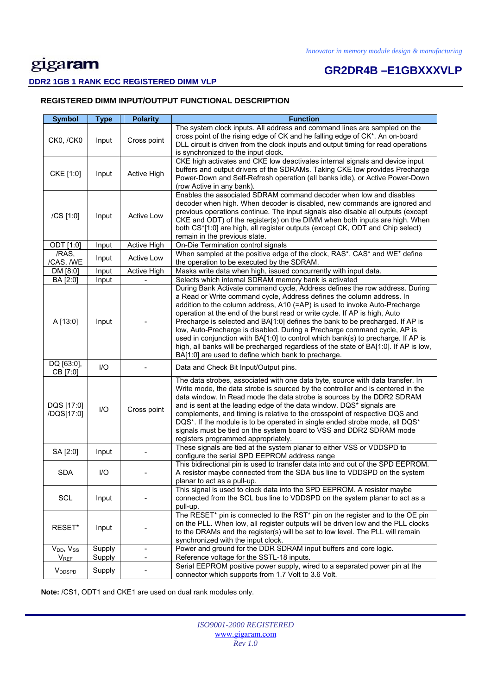# **GR2DR4B –E1GBXXXVLP**

### **DDR2 1GB 1 RANK ECC REGISTERED DIMM VLP**

### **REGISTERED DIMM INPUT/OUTPUT FUNCTIONAL DESCRIPTION**

| <b>Symbol</b>            | <b>Type</b>            | <b>Polarity</b>              | <b>Function</b>                                                                                                                                                                                                                                                                                                                                                                                                                                                                                                                                                                                                                                                                                                  |
|--------------------------|------------------------|------------------------------|------------------------------------------------------------------------------------------------------------------------------------------------------------------------------------------------------------------------------------------------------------------------------------------------------------------------------------------------------------------------------------------------------------------------------------------------------------------------------------------------------------------------------------------------------------------------------------------------------------------------------------------------------------------------------------------------------------------|
| CK0, /CK0                | Input                  | Cross point                  | The system clock inputs. All address and command lines are sampled on the<br>cross point of the rising edge of CK and he falling edge of CK*. An on-board<br>DLL circuit is driven from the clock inputs and output timing for read operations<br>is synchronized to the input clock.                                                                                                                                                                                                                                                                                                                                                                                                                            |
| CKE [1:0]                | Input                  | Active High                  | CKE high activates and CKE low deactivates internal signals and device input<br>buffers and output drivers of the SDRAMs. Taking CKE low provides Precharge<br>Power-Down and Self-Refresh operation (all banks idle), or Active Power-Down<br>(row Active in any bank).                                                                                                                                                                                                                                                                                                                                                                                                                                         |
| /CS [1:0]                | Input                  | Active Low                   | Enables the associated SDRAM command decoder when low and disables<br>decoder when high. When decoder is disabled, new commands are ignored and<br>previous operations continue. The input signals also disable all outputs (except<br>CKE and ODT) of the register(s) on the DIMM when both inputs are high. When<br>both CS*[1:0] are high, all register outputs (except CK, ODT and Chip select)<br>remain in the previous state.                                                                                                                                                                                                                                                                             |
| ODT [1:0]                | Input                  | Active High                  | On-Die Termination control signals                                                                                                                                                                                                                                                                                                                                                                                                                                                                                                                                                                                                                                                                               |
| /RAS,<br>/CAS, /WE       | Input                  | <b>Active Low</b>            | When sampled at the positive edge of the clock, RAS*, CAS* and WE* define<br>the operation to be executed by the SDRAM.                                                                                                                                                                                                                                                                                                                                                                                                                                                                                                                                                                                          |
| DM [8:0]                 | Input                  | Active High                  | Masks write data when high, issued concurrently with input data.                                                                                                                                                                                                                                                                                                                                                                                                                                                                                                                                                                                                                                                 |
| BA [2:0]                 | Input                  |                              | Selects which internal SDRAM memory bank is activated                                                                                                                                                                                                                                                                                                                                                                                                                                                                                                                                                                                                                                                            |
| A [13:0]                 | Input                  |                              | During Bank Activate command cycle, Address defines the row address. During<br>a Read or Write command cycle, Address defines the column address. In<br>addition to the column address, A10 (=AP) is used to invoke Auto-Precharge<br>operation at the end of the burst read or write cycle. If AP is high, Auto<br>Precharge is selected and BA[1:0] defines the bank to be precharged. If AP is<br>low, Auto-Precharge is disabled. During a Precharge command cycle, AP is<br>used in conjunction with BA[1:0] to control which bank(s) to precharge. If AP is<br>high, all banks will be precharged regardless of the state of BA[1:0]. If AP is low,<br>BA[1:0] are used to define which bank to precharge. |
| DQ [63:0],<br>CB [7:0]   | $II$                   |                              | Data and Check Bit Input/Output pins.                                                                                                                                                                                                                                                                                                                                                                                                                                                                                                                                                                                                                                                                            |
| DQS [17:0]<br>/DQS[17:0] | $\mathsf{U}\mathsf{O}$ | Cross point                  | The data strobes, associated with one data byte, source with data transfer. In<br>Write mode, the data strobe is sourced by the controller and is centered in the<br>data window. In Read mode the data strobe is sources by the DDR2 SDRAM<br>and is sent at the leading edge of the data window. DQS* signals are<br>complements, and timing is relative to the crosspoint of respective DQS and<br>DQS*. If the module is to be operated in single ended strobe mode, all DQS*<br>signals must be tied on the system board to VSS and DDR2 SDRAM mode<br>registers programmed appropriately.                                                                                                                  |
| SA [2:0]                 | Input                  |                              | These signals are tied at the system planar to either VSS or VDDSPD to<br>configure the serial SPD EEPROM address range                                                                                                                                                                                                                                                                                                                                                                                                                                                                                                                                                                                          |
| <b>SDA</b>               | I/O                    |                              | This bidirectional pin is used to transfer data into and out of the SPD EEPROM.<br>A resistor maybe connected from the SDA bus line to VDDSPD on the system<br>planar to act as a pull-up.                                                                                                                                                                                                                                                                                                                                                                                                                                                                                                                       |
| SCL                      | Input                  |                              | This signal is used to clock data into the SPD EEPROM. A resistor maybe<br>connected from the SCL bus line to VDDSPD on the system planar to act as a<br>pull-up.                                                                                                                                                                                                                                                                                                                                                                                                                                                                                                                                                |
| RESET*                   | Input                  |                              | The RESET* pin is connected to the RST* pin on the register and to the OE pin<br>on the PLL. When low, all register outputs will be driven low and the PLL clocks<br>to the DRAMs and the register(s) will be set to low level. The PLL will remain<br>synchronized with the input clock.                                                                                                                                                                                                                                                                                                                                                                                                                        |
| $V_{DD}$ , $V_{SS}$      | Supply                 | $\blacksquare$               | Power and ground for the DDR SDRAM input buffers and core logic.                                                                                                                                                                                                                                                                                                                                                                                                                                                                                                                                                                                                                                                 |
| <b>VREF</b>              | Supply                 | $\qquad \qquad \blacksquare$ | Reference voltage for the SSTL-18 inputs.                                                                                                                                                                                                                                                                                                                                                                                                                                                                                                                                                                                                                                                                        |
| V <sub>DDSPD</sub>       | Supply                 |                              | Serial EEPROM positive power supply, wired to a separated power pin at the<br>connector which supports from 1.7 Volt to 3.6 Volt.                                                                                                                                                                                                                                                                                                                                                                                                                                                                                                                                                                                |

 **Note:** /CS1, ODT1 and CKE1 are used on dual rank modules only.

| <b>ISO9001-2000 REGISTERED</b> |
|--------------------------------|
| www.gigaram.com                |
| Rev 1.0                        |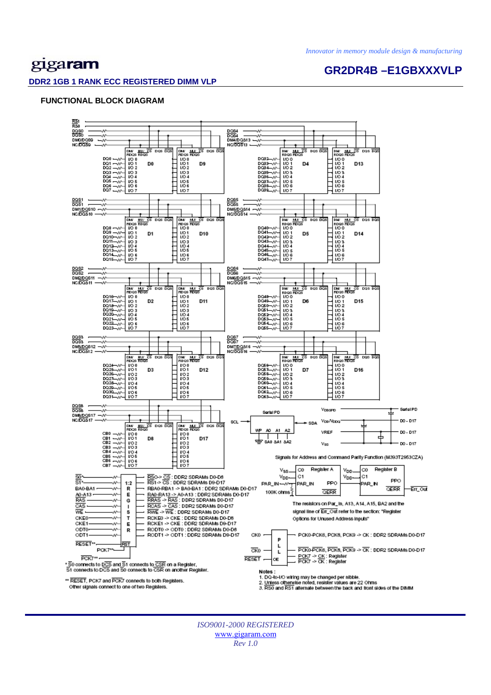# gigaram

### **GR2DR4B –E1GBXXXVLP**

#### **DDR2 1GB 1 RANK ECC REGISTERED DIMM VLP**

#### **FUNCTIONAL BLOCK DIAGRAM**



*ISO9001-2000 REGISTERED*  www.gigaram.com *Rev 1.0*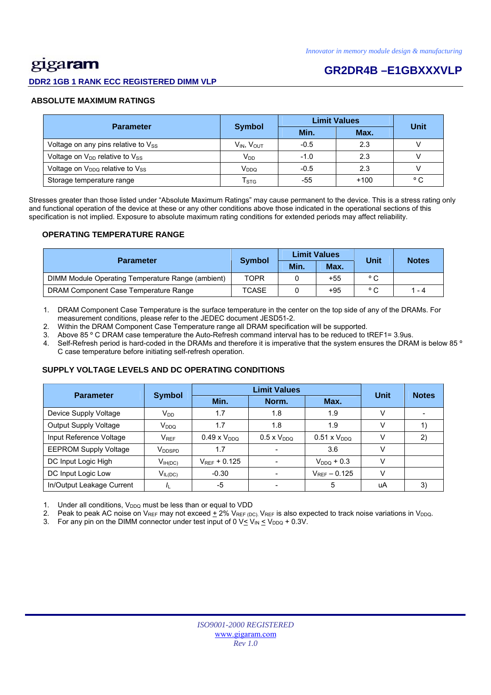# <u>gig</u>a**ram**

### **DDR2 1GB 1 RANK ECC REGISTERED DIMM VLP**

## **GR2DR4B –E1GBXXXVLP**

### **ABSOLUTE MAXIMUM RATINGS**

| <b>Parameter</b>                          |                             | <b>Limit Values</b> | <b>Unit</b> |              |
|-------------------------------------------|-----------------------------|---------------------|-------------|--------------|
|                                           | <b>Symbol</b>               | Min.                | Max.        |              |
| Voltage on any pins relative to Vss       | V <sub>IN</sub> , VOUT      | $-0.5$              | 2.3         |              |
| Voltage on $V_{DD}$ relative to $V_{SS}$  | $V_{DD}$                    | $-1.0$              | 2.3         |              |
| Voltage on $V_{DDQ}$ relative to $V_{SS}$ | V <sub>DDQ</sub>            | $-0.5$              | 2.3         |              |
| Storage temperature range                 | $\mathsf{T}_{\texttt{STG}}$ | -55                 | $+100$      | $^{\circ}$ C |

Stresses greater than those listed under "Absolute Maximum Ratings" may cause permanent to the device. This is a stress rating only and functional operation of the device at these or any other conditions above those indicated in the operational sections of this specification is not implied. Exposure to absolute maximum rating conditions for extended periods may affect reliability.

### **OPERATING TEMPERATURE RANGE**

| <b>Parameter</b>                                  |               |      | <b>Limit Values</b> | Unit           | <b>Notes</b> |
|---------------------------------------------------|---------------|------|---------------------|----------------|--------------|
|                                                   | <b>Symbol</b> | Min. | Max.                |                |              |
| DIMM Module Operating Temperature Range (ambient) | TOPR          |      | $+55$               | $^{\circ}$ C   |              |
| DRAM Component Case Temperature Range             | <b>TCASE</b>  |      | $+95$               | $\circ$ $\sim$ | $1 - 4$      |

1. DRAM Component Case Temperature is the surface temperature in the center on the top side of any of the DRAMs. For measurement conditions, please refer to the JEDEC document JESD51-2.

2. Within the DRAM Component Case Temperature range all DRAM specification will be supported.

3. Above 85 º C DRAM case temperature the Auto-Refresh command interval has to be reduced to tREF1= 3.9us.

4. Self-Refresh period is hard-coded in the DRAMs and therefore it is imperative that the system ensures the DRAM is below 85 ° C case temperature before initiating self-refresh operation.

### **SUPPLY VOLTAGE LEVELS AND DC OPERATING CONDITIONS**

| <b>Parameter</b>             | <b>Symbol</b>      |                       | Unit                 | <b>Notes</b>          |        |    |
|------------------------------|--------------------|-----------------------|----------------------|-----------------------|--------|----|
|                              |                    | Min.                  | Norm.                | Max.                  |        |    |
| Device Supply Voltage        | $V_{DD}$           | 1.7                   | 1.8                  | 1.9                   | $\vee$ |    |
| <b>Output Supply Voltage</b> | V <sub>DDQ</sub>   | 1.7                   | 1.8                  | 1.9                   | v      |    |
| Input Reference Voltage      | $V_{REF}$          | $0.49 \times V_{DDQ}$ | $0.5 \times V_{DDQ}$ | $0.51 \times V_{DDQ}$ |        | 2) |
| <b>EEPROM Supply Voltage</b> | V <sub>DDSPD</sub> | 1.7                   |                      | 3.6                   |        |    |
| DC Input Logic High          | $V_{IH(DC)}$       | $V_{RFF}$ + 0.125     |                      | $V_{DDO}$ + 0.3       | $\vee$ |    |
| DC Input Logic Low           | $V_{IL(DC)}$       | $-0.30$               |                      | $V_{RFF} - 0.125$     | v      |    |
| In/Output Leakage Current    |                    | -5                    |                      | 5                     | uA     | 3) |

1. Under all conditions,  $V_{DDQ}$  must be less than or equal to VDD

2. Peak to peak AC noise on V<sub>REF</sub> may not exceed  $\pm$  2% V<sub>REF (DC)</sub>. V<sub>REF</sub> is also expected to track noise variations in V<sub>DDQ</sub>.

3. For any pin on the DIMM connector under test input of 0  $V \leq V_{IN} \leq V_{DDQ} + 0.3V$ .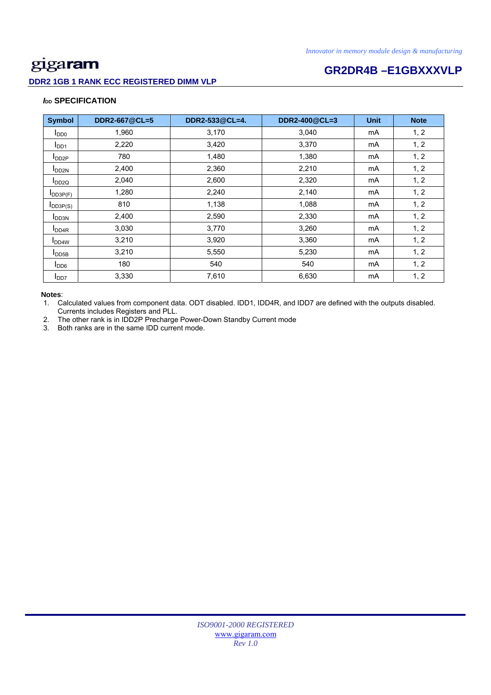### **DDR2 1GB 1 RANK ECC REGISTERED DIMM VLP**

# **GR2DR4B –E1GBXXXVLP**

### *I***<sub>DD</sub> SPECIFICATION**

| <b>Symbol</b>             | DDR2-667@CL=5 | DDR2-533@CL=4. | DDR2-400@CL=3 | <b>Unit</b> | <b>Note</b> |
|---------------------------|---------------|----------------|---------------|-------------|-------------|
| $I_{DD0}$                 | 1,960         | 3,170          | 3,040         | mA          | 1, 2        |
| I <sub>DD1</sub>          | 2,220         | 3,420          | 3,370         | mA          | 1, 2        |
| $I_{DD2P}$                | 780           | 1,480          | 1,380         | mA          | 1, 2        |
| <b>I</b> DD <sub>2N</sub> | 2,400         | 2,360          | 2,210         | mA          | 1, 2        |
| $I_{DD2Q}$                | 2,040         | 2,600          | 2,320         | mA          | 1, 2        |
| $I_{DD3P(F)}$             | 1,280         | 2,240          | 2,140         | mA          | 1, 2        |
| $I_{DD3P(S)}$             | 810           | 1,138          | 1,088         | mA          | 1, 2        |
| I <sub>DD3N</sub>         | 2,400         | 2,590          | 2,330         | mA          | 1, 2        |
| <b>I</b> DD <sub>4R</sub> | 3,030         | 3,770          | 3,260         | mA          | 1, 2        |
| $I_{DD4W}$                | 3,210         | 3,920          | 3,360         | mA          | 1, 2        |
| $I_{\text{DDSB}}$         | 3,210         | 5,550          | 5,230         | mA          | 1, 2        |
| I <sub>DD6</sub>          | 180           | 540            | 540           | mA          | 1, 2        |
| I <sub>DD7</sub>          | 3,330         | 7,610          | 6,630         | mA          | 1, 2        |

### **Notes**:

1. Calculated values from component data. ODT disabled. IDD1, IDD4R, and IDD7 are defined with the outputs disabled. Currents includes Registers and PLL.

2. The other rank is in IDD2P Precharge Power-Down Standby Current mode

3. Both ranks are in the same IDD current mode.